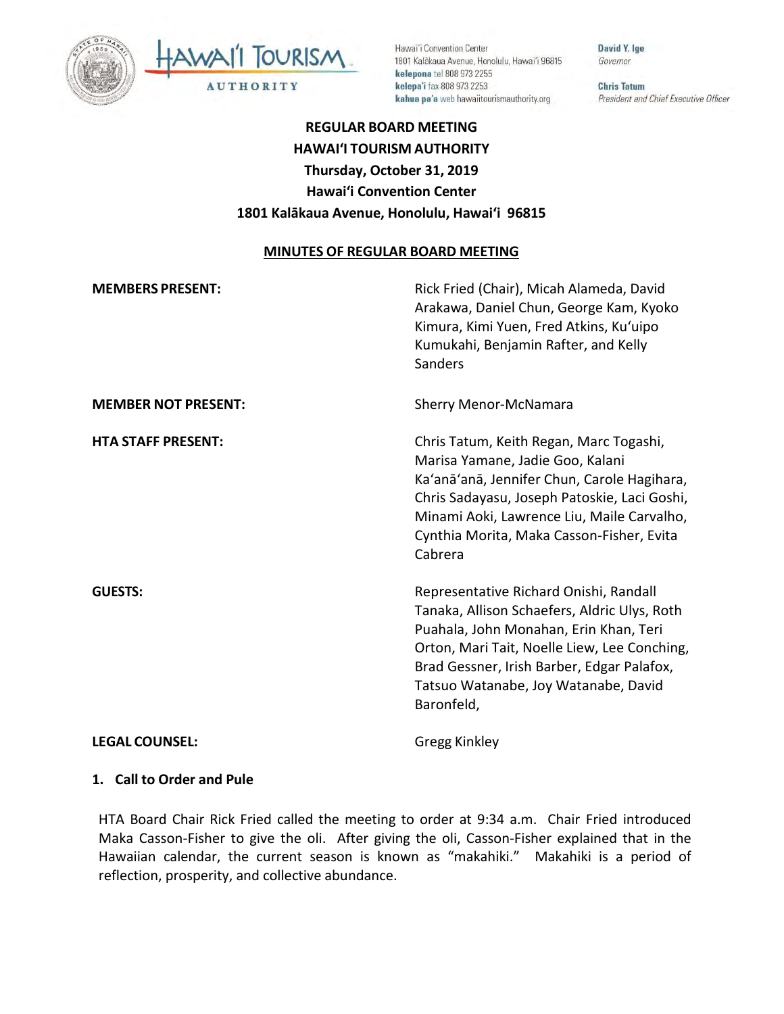

Hawai'i Convention Center 1801 Kalākaua Avenue, Honolulu, Hawai'i 96815 kelepona tel 808 973 2255 kelepa'i fax 808 973 2253 kahua pa'a web hawaiitourismauthority.org

David Y. Ige Governor

**Chris Tatum** President and Chief Executive Officer

# **REGULAR BOARD MEETING HAWAI'I TOURISM AUTHORITY Thursday, October 31, 2019 Hawai'i Convention Center 1801 Kalākaua Avenue, Honolulu, Hawai'i 96815**

#### **MINUTES OF REGULAR BOARD MEETING**

| <b>MEMBERS PRESENT:</b>    | Rick Fried (Chair), Micah Alameda, David<br>Arakawa, Daniel Chun, George Kam, Kyoko<br>Kimura, Kimi Yuen, Fred Atkins, Ku'uipo<br>Kumukahi, Benjamin Rafter, and Kelly<br>Sanders                                                                                                    |
|----------------------------|--------------------------------------------------------------------------------------------------------------------------------------------------------------------------------------------------------------------------------------------------------------------------------------|
| <b>MEMBER NOT PRESENT:</b> | <b>Sherry Menor-McNamara</b>                                                                                                                                                                                                                                                         |
| <b>HTA STAFF PRESENT:</b>  | Chris Tatum, Keith Regan, Marc Togashi,<br>Marisa Yamane, Jadie Goo, Kalani<br>Ka'anā'anā, Jennifer Chun, Carole Hagihara,<br>Chris Sadayasu, Joseph Patoskie, Laci Goshi,<br>Minami Aoki, Lawrence Liu, Maile Carvalho,<br>Cynthia Morita, Maka Casson-Fisher, Evita<br>Cabrera     |
| <b>GUESTS:</b>             | Representative Richard Onishi, Randall<br>Tanaka, Allison Schaefers, Aldric Ulys, Roth<br>Puahala, John Monahan, Erin Khan, Teri<br>Orton, Mari Tait, Noelle Liew, Lee Conching,<br>Brad Gessner, Irish Barber, Edgar Palafox,<br>Tatsuo Watanabe, Joy Watanabe, David<br>Baronfeld, |
| <b>LEGAL COUNSEL:</b>      | Gregg Kinkley                                                                                                                                                                                                                                                                        |

#### **1. Call to Order and Pule**

HTA Board Chair Rick Fried called the meeting to order at 9:34 a.m. Chair Fried introduced Maka Casson-Fisher to give the oli. After giving the oli, Casson-Fisher explained that in the Hawaiian calendar, the current season is known as "makahiki." Makahiki is a period of reflection, prosperity, and collective abundance.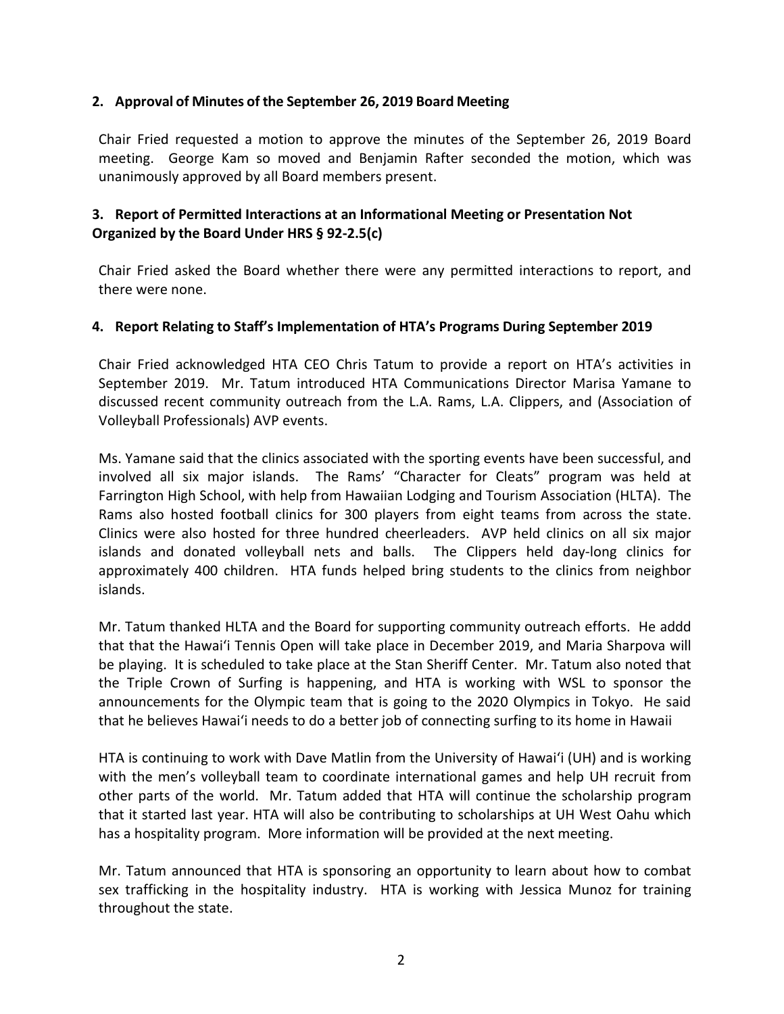#### **2. Approval of Minutes of the September 26, 2019 Board Meeting**

Chair Fried requested a motion to approve the minutes of the September 26, 2019 Board meeting. George Kam so moved and Benjamin Rafter seconded the motion, which was unanimously approved by all Board members present.

## **3. Report of Permitted Interactions at an Informational Meeting or Presentation Not Organized by the Board Under HRS § 92-2.5(c)**

Chair Fried asked the Board whether there were any permitted interactions to report, and there were none.

## **4. Report Relating to Staff's Implementation of HTA's Programs During September 2019**

Chair Fried acknowledged HTA CEO Chris Tatum to provide a report on HTA's activities in September 2019. Mr. Tatum introduced HTA Communications Director Marisa Yamane to discussed recent community outreach from the L.A. Rams, L.A. Clippers, and (Association of Volleyball Professionals) AVP events.

Ms. Yamane said that the clinics associated with the sporting events have been successful, and involved all six major islands. The Rams' "Character for Cleats" program was held at Farrington High School, with help from Hawaiian Lodging and Tourism Association (HLTA). The Rams also hosted football clinics for 300 players from eight teams from across the state. Clinics were also hosted for three hundred cheerleaders. AVP held clinics on all six major islands and donated volleyball nets and balls. The Clippers held day-long clinics for approximately 400 children. HTA funds helped bring students to the clinics from neighbor islands.

Mr. Tatum thanked HLTA and the Board for supporting community outreach efforts. He addd that that the Hawai'i Tennis Open will take place in December 2019, and Maria Sharpova will be playing. It is scheduled to take place at the Stan Sheriff Center. Mr. Tatum also noted that the Triple Crown of Surfing is happening, and HTA is working with WSL to sponsor the announcements for the Olympic team that is going to the 2020 Olympics in Tokyo. He said that he believes Hawai'i needs to do a better job of connecting surfing to its home in Hawaii

HTA is continuing to work with Dave Matlin from the University of Hawai'i (UH) and is working with the men's volleyball team to coordinate international games and help UH recruit from other parts of the world. Mr. Tatum added that HTA will continue the scholarship program that it started last year. HTA will also be contributing to scholarships at UH West Oahu which has a hospitality program. More information will be provided at the next meeting.

Mr. Tatum announced that HTA is sponsoring an opportunity to learn about how to combat sex trafficking in the hospitality industry. HTA is working with Jessica Munoz for training throughout the state.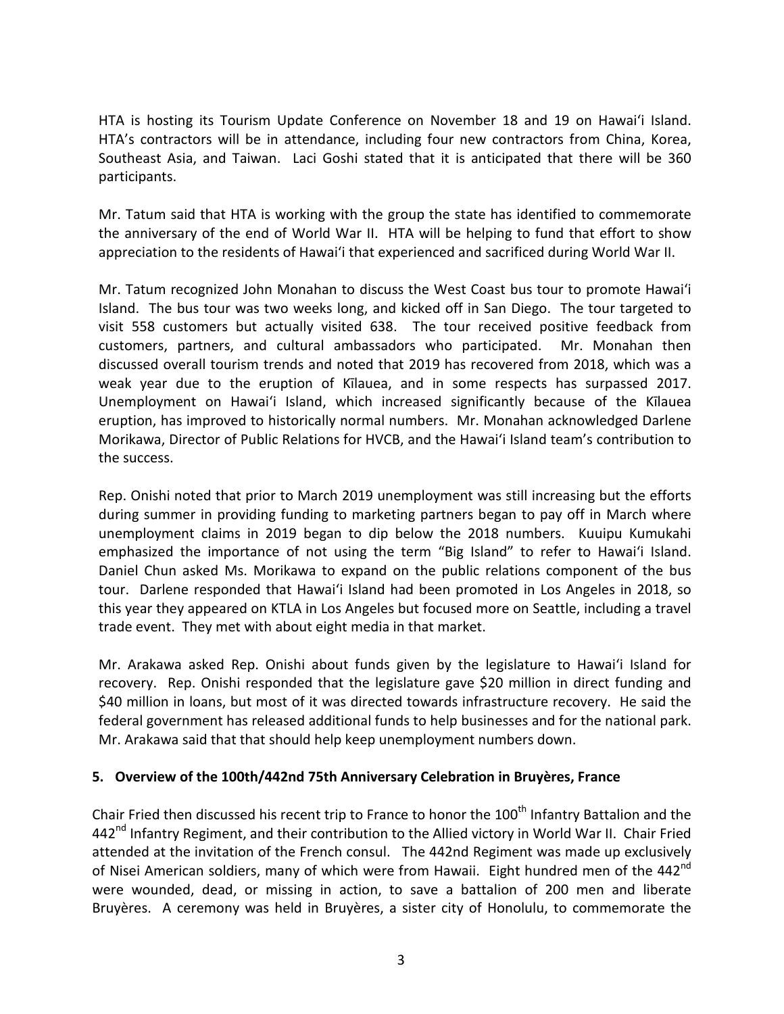HTA is hosting its Tourism Update Conference on November 18 and 19 on Hawai'i Island. HTA's contractors will be in attendance, including four new contractors from China, Korea, Southeast Asia, and Taiwan. Laci Goshi stated that it is anticipated that there will be 360 participants.

Mr. Tatum said that HTA is working with the group the state has identified to commemorate the anniversary of the end of World War II. HTA will be helping to fund that effort to show appreciation to the residents of Hawai'i that experienced and sacrificed during World War II.

Mr. Tatum recognized John Monahan to discuss the West Coast bus tour to promote Hawai'i Island. The bus tour was two weeks long, and kicked off in San Diego. The tour targeted to visit 558 customers but actually visited 638. The tour received positive feedback from customers, partners, and cultural ambassadors who participated. Mr. Monahan then discussed overall tourism trends and noted that 2019 has recovered from 2018, which was a weak year due to the eruption of Kīlauea, and in some respects has surpassed 2017. Unemployment on Hawai'i Island, which increased significantly because of the Kīlauea eruption, has improved to historically normal numbers. Mr. Monahan acknowledged Darlene Morikawa, Director of Public Relations for HVCB, and the Hawai'i Island team's contribution to the success.

Rep. Onishi noted that prior to March 2019 unemployment was still increasing but the efforts during summer in providing funding to marketing partners began to pay off in March where unemployment claims in 2019 began to dip below the 2018 numbers. Kuuipu Kumukahi emphasized the importance of not using the term "Big Island" to refer to Hawai'i Island. Daniel Chun asked Ms. Morikawa to expand on the public relations component of the bus tour. Darlene responded that Hawai'i Island had been promoted in Los Angeles in 2018, so this year they appeared on KTLA in Los Angeles but focused more on Seattle, including a travel trade event. They met with about eight media in that market.

Mr. Arakawa asked Rep. Onishi about funds given by the legislature to Hawai'i Island for recovery. Rep. Onishi responded that the legislature gave \$20 million in direct funding and \$40 million in loans, but most of it was directed towards infrastructure recovery. He said the federal government has released additional funds to help businesses and for the national park. Mr. Arakawa said that that should help keep unemployment numbers down.

#### **5. Overview of the 100th/442nd 75th Anniversary Celebration in Bruyères, France**

Chair Fried then discussed his recent trip to France to honor the 100<sup>th</sup> Infantry Battalion and the 442<sup>nd</sup> Infantry Regiment, and their contribution to the Allied victory in World War II. Chair Fried attended at the invitation of the French consul. The 442nd Regiment was made up exclusively of Nisei American soldiers, many of which were from Hawaii. Eight hundred men of the 442<sup>nd</sup> were wounded, dead, or missing in action, to save a battalion of 200 men and liberate Bruyères. A ceremony was held in Bruyères, a sister city of Honolulu, to commemorate the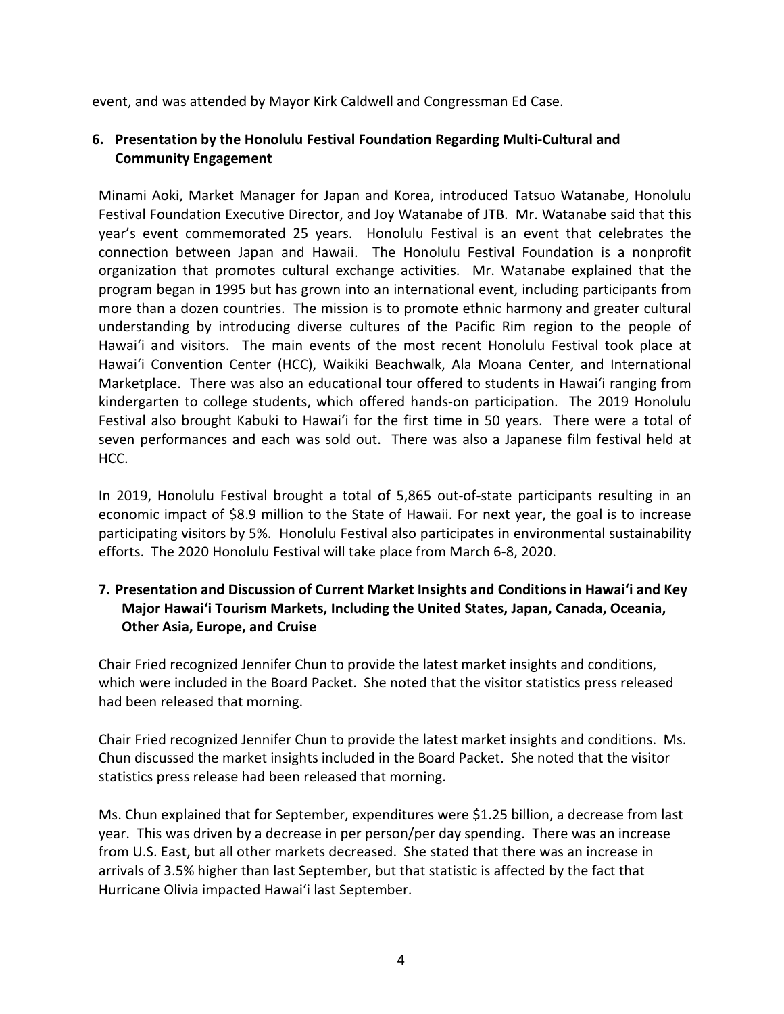event, and was attended by Mayor Kirk Caldwell and Congressman Ed Case.

## **6. Presentation by the Honolulu Festival Foundation Regarding Multi-Cultural and Community Engagement**

Minami Aoki, Market Manager for Japan and Korea, introduced Tatsuo Watanabe, Honolulu Festival Foundation Executive Director, and Joy Watanabe of JTB. Mr. Watanabe said that this year's event commemorated 25 years. Honolulu Festival is an event that celebrates the connection between Japan and Hawaii. The Honolulu Festival Foundation is a nonprofit organization that promotes cultural exchange activities. Mr. Watanabe explained that the program began in 1995 but has grown into an international event, including participants from more than a dozen countries. The mission is to promote ethnic harmony and greater cultural understanding by introducing diverse cultures of the Pacific Rim region to the people of Hawai'i and visitors. The main events of the most recent Honolulu Festival took place at Hawai'i Convention Center (HCC), Waikiki Beachwalk, Ala Moana Center, and International Marketplace. There was also an educational tour offered to students in Hawai'i ranging from kindergarten to college students, which offered hands-on participation. The 2019 Honolulu Festival also brought Kabuki to Hawai'i for the first time in 50 years. There were a total of seven performances and each was sold out. There was also a Japanese film festival held at HCC.

In 2019, Honolulu Festival brought a total of 5,865 out-of-state participants resulting in an economic impact of \$8.9 million to the State of Hawaii. For next year, the goal is to increase participating visitors by 5%. Honolulu Festival also participates in environmental sustainability efforts. The 2020 Honolulu Festival will take place from March 6-8, 2020.

## **7. Presentation and Discussion of Current Market Insights and Conditions in Hawai'i and Key Major Hawai'i Tourism Markets, Including the United States, Japan, Canada, Oceania, Other Asia, Europe, and Cruise**

Chair Fried recognized Jennifer Chun to provide the latest market insights and conditions, which were included in the Board Packet. She noted that the visitor statistics press released had been released that morning.

Chair Fried recognized Jennifer Chun to provide the latest market insights and conditions. Ms. Chun discussed the market insights included in the Board Packet. She noted that the visitor statistics press release had been released that morning.

Ms. Chun explained that for September, expenditures were \$1.25 billion, a decrease from last year. This was driven by a decrease in per person/per day spending. There was an increase from U.S. East, but all other markets decreased. She stated that there was an increase in arrivals of 3.5% higher than last September, but that statistic is affected by the fact that Hurricane Olivia impacted Hawai'i last September.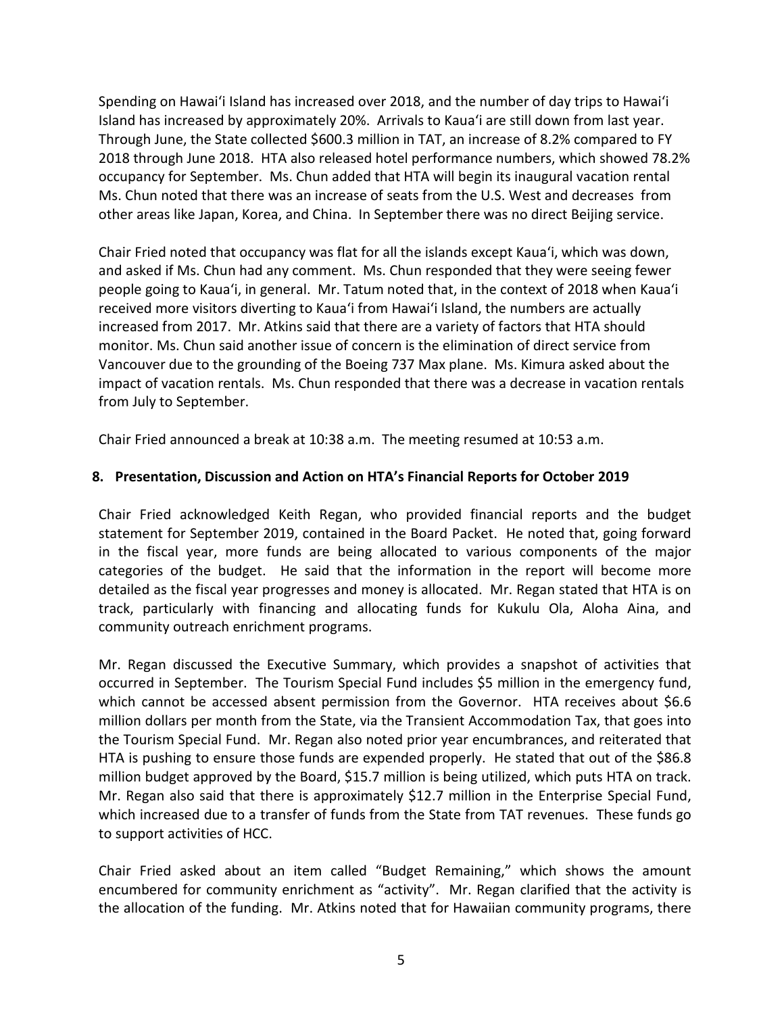Spending on Hawai'i Island has increased over 2018, and the number of day trips to Hawai'i Island has increased by approximately 20%. Arrivals to Kaua'i are still down from last year. Through June, the State collected \$600.3 million in TAT, an increase of 8.2% compared to FY 2018 through June 2018. HTA also released hotel performance numbers, which showed 78.2% occupancy for September. Ms. Chun added that HTA will begin its inaugural vacation rental Ms. Chun noted that there was an increase of seats from the U.S. West and decreases from other areas like Japan, Korea, and China. In September there was no direct Beijing service.

Chair Fried noted that occupancy was flat for all the islands except Kaua'i, which was down, and asked if Ms. Chun had any comment. Ms. Chun responded that they were seeing fewer people going to Kaua'i, in general. Mr. Tatum noted that, in the context of 2018 when Kaua'i received more visitors diverting to Kaua'i from Hawai'i Island, the numbers are actually increased from 2017. Mr. Atkins said that there are a variety of factors that HTA should monitor. Ms. Chun said another issue of concern is the elimination of direct service from Vancouver due to the grounding of the Boeing 737 Max plane. Ms. Kimura asked about the impact of vacation rentals. Ms. Chun responded that there was a decrease in vacation rentals from July to September.

Chair Fried announced a break at 10:38 a.m. The meeting resumed at 10:53 a.m.

# **8. Presentation, Discussion and Action on HTA's Financial Reports for October 2019**

Chair Fried acknowledged Keith Regan, who provided financial reports and the budget statement for September 2019, contained in the Board Packet. He noted that, going forward in the fiscal year, more funds are being allocated to various components of the major categories of the budget. He said that the information in the report will become more detailed as the fiscal year progresses and money is allocated. Mr. Regan stated that HTA is on track, particularly with financing and allocating funds for Kukulu Ola, Aloha Aina, and community outreach enrichment programs.

Mr. Regan discussed the Executive Summary, which provides a snapshot of activities that occurred in September. The Tourism Special Fund includes \$5 million in the emergency fund, which cannot be accessed absent permission from the Governor. HTA receives about \$6.6 million dollars per month from the State, via the Transient Accommodation Tax, that goes into the Tourism Special Fund. Mr. Regan also noted prior year encumbrances, and reiterated that HTA is pushing to ensure those funds are expended properly. He stated that out of the \$86.8 million budget approved by the Board, \$15.7 million is being utilized, which puts HTA on track. Mr. Regan also said that there is approximately \$12.7 million in the Enterprise Special Fund, which increased due to a transfer of funds from the State from TAT revenues. These funds go to support activities of HCC.

Chair Fried asked about an item called "Budget Remaining," which shows the amount encumbered for community enrichment as "activity". Mr. Regan clarified that the activity is the allocation of the funding. Mr. Atkins noted that for Hawaiian community programs, there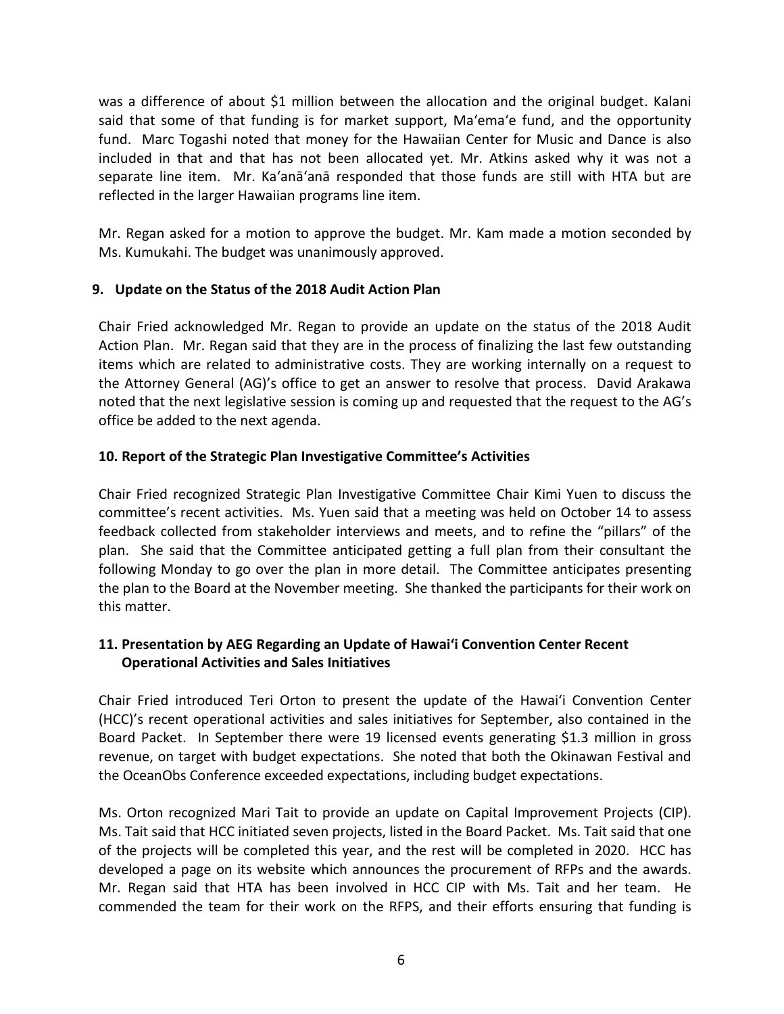was a difference of about \$1 million between the allocation and the original budget. Kalani said that some of that funding is for market support, Ma'ema'e fund, and the opportunity fund. Marc Togashi noted that money for the Hawaiian Center for Music and Dance is also included in that and that has not been allocated yet. Mr. Atkins asked why it was not a separate line item. Mr. Ka'anā'anā responded that those funds are still with HTA but are reflected in the larger Hawaiian programs line item.

Mr. Regan asked for a motion to approve the budget. Mr. Kam made a motion seconded by Ms. Kumukahi. The budget was unanimously approved.

## **9. Update on the Status of the 2018 Audit Action Plan**

Chair Fried acknowledged Mr. Regan to provide an update on the status of the 2018 Audit Action Plan. Mr. Regan said that they are in the process of finalizing the last few outstanding items which are related to administrative costs. They are working internally on a request to the Attorney General (AG)'s office to get an answer to resolve that process. David Arakawa noted that the next legislative session is coming up and requested that the request to the AG's office be added to the next agenda.

## **10. Report of the Strategic Plan Investigative Committee's Activities**

Chair Fried recognized Strategic Plan Investigative Committee Chair Kimi Yuen to discuss the committee's recent activities. Ms. Yuen said that a meeting was held on October 14 to assess feedback collected from stakeholder interviews and meets, and to refine the "pillars" of the plan. She said that the Committee anticipated getting a full plan from their consultant the following Monday to go over the plan in more detail. The Committee anticipates presenting the plan to the Board at the November meeting. She thanked the participants for their work on this matter.

# **11. Presentation by AEG Regarding an Update of Hawai'i Convention Center Recent Operational Activities and Sales Initiatives**

Chair Fried introduced Teri Orton to present the update of the Hawai'i Convention Center (HCC)'s recent operational activities and sales initiatives for September, also contained in the Board Packet. In September there were 19 licensed events generating \$1.3 million in gross revenue, on target with budget expectations. She noted that both the Okinawan Festival and the OceanObs Conference exceeded expectations, including budget expectations.

Ms. Orton recognized Mari Tait to provide an update on Capital Improvement Projects (CIP). Ms. Tait said that HCC initiated seven projects, listed in the Board Packet. Ms. Tait said that one of the projects will be completed this year, and the rest will be completed in 2020. HCC has developed a page on its website which announces the procurement of RFPs and the awards. Mr. Regan said that HTA has been involved in HCC CIP with Ms. Tait and her team. He commended the team for their work on the RFPS, and their efforts ensuring that funding is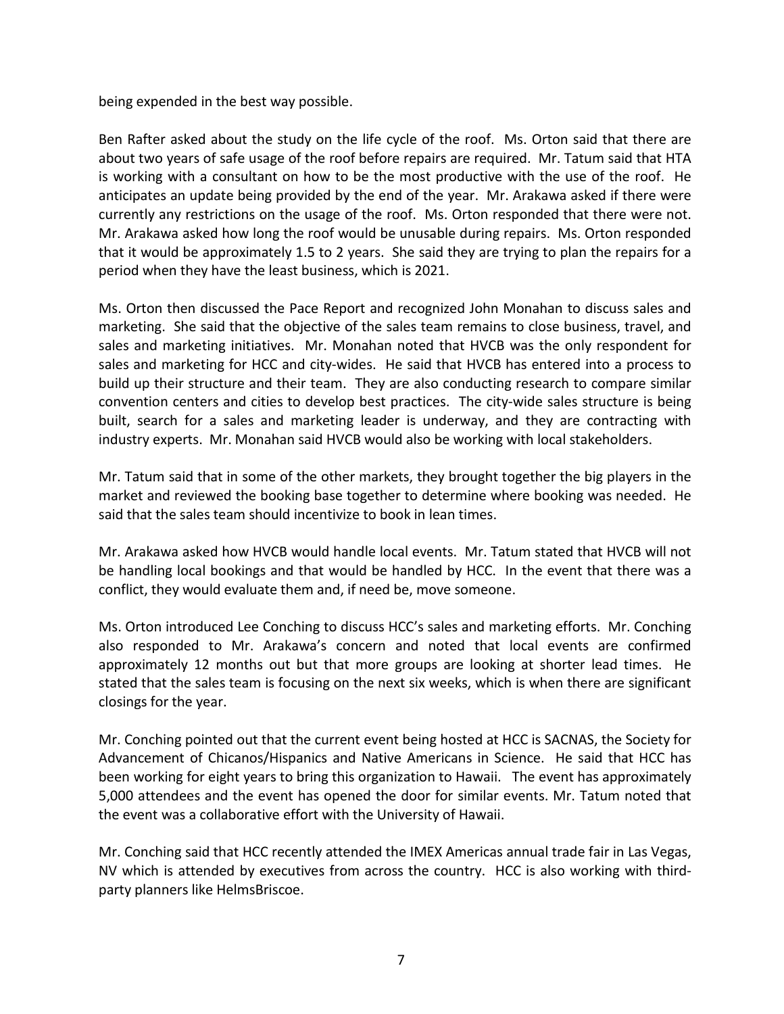being expended in the best way possible.

Ben Rafter asked about the study on the life cycle of the roof. Ms. Orton said that there are about two years of safe usage of the roof before repairs are required. Mr. Tatum said that HTA is working with a consultant on how to be the most productive with the use of the roof. He anticipates an update being provided by the end of the year. Mr. Arakawa asked if there were currently any restrictions on the usage of the roof. Ms. Orton responded that there were not. Mr. Arakawa asked how long the roof would be unusable during repairs. Ms. Orton responded that it would be approximately 1.5 to 2 years. She said they are trying to plan the repairs for a period when they have the least business, which is 2021.

Ms. Orton then discussed the Pace Report and recognized John Monahan to discuss sales and marketing. She said that the objective of the sales team remains to close business, travel, and sales and marketing initiatives. Mr. Monahan noted that HVCB was the only respondent for sales and marketing for HCC and city-wides. He said that HVCB has entered into a process to build up their structure and their team. They are also conducting research to compare similar convention centers and cities to develop best practices. The city-wide sales structure is being built, search for a sales and marketing leader is underway, and they are contracting with industry experts. Mr. Monahan said HVCB would also be working with local stakeholders.

Mr. Tatum said that in some of the other markets, they brought together the big players in the market and reviewed the booking base together to determine where booking was needed. He said that the sales team should incentivize to book in lean times.

Mr. Arakawa asked how HVCB would handle local events. Mr. Tatum stated that HVCB will not be handling local bookings and that would be handled by HCC. In the event that there was a conflict, they would evaluate them and, if need be, move someone.

Ms. Orton introduced Lee Conching to discuss HCC's sales and marketing efforts. Mr. Conching also responded to Mr. Arakawa's concern and noted that local events are confirmed approximately 12 months out but that more groups are looking at shorter lead times. He stated that the sales team is focusing on the next six weeks, which is when there are significant closings for the year.

Mr. Conching pointed out that the current event being hosted at HCC is SACNAS, the Society for Advancement of Chicanos/Hispanics and Native Americans in Science. He said that HCC has been working for eight years to bring this organization to Hawaii. The event has approximately 5,000 attendees and the event has opened the door for similar events. Mr. Tatum noted that the event was a collaborative effort with the University of Hawaii.

Mr. Conching said that HCC recently attended the IMEX Americas annual trade fair in Las Vegas, NV which is attended by executives from across the country. HCC is also working with thirdparty planners like HelmsBriscoe.